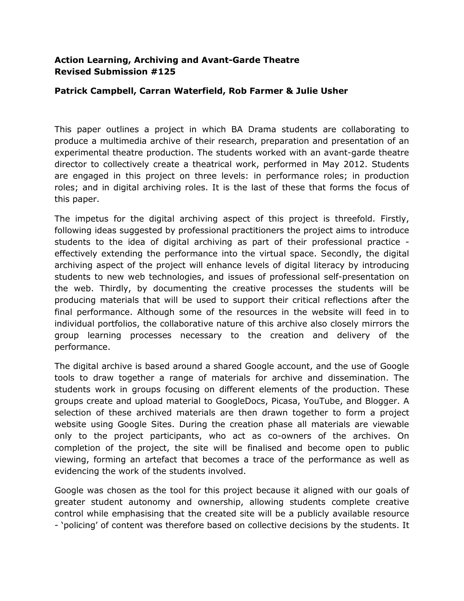## **Action Learning, Archiving and Avant-Garde Theatre Revised Submission #125**

## **Patrick Campbell, Carran Waterfield, Rob Farmer & Julie Usher**

This paper outlines a project in which BA Drama students are collaborating to produce a multimedia archive of their research, preparation and presentation of an experimental theatre production. The students worked with an avant-garde theatre director to collectively create a theatrical work, performed in May 2012. Students are engaged in this project on three levels: in performance roles; in production roles; and in digital archiving roles. It is the last of these that forms the focus of this paper.

The impetus for the digital archiving aspect of this project is threefold. Firstly, following ideas suggested by professional practitioners the project aims to introduce students to the idea of digital archiving as part of their professional practice effectively extending the performance into the virtual space. Secondly, the digital archiving aspect of the project will enhance levels of digital literacy by introducing students to new web technologies, and issues of professional self-presentation on the web. Thirdly, by documenting the creative processes the students will be producing materials that will be used to support their critical reflections after the final performance. Although some of the resources in the website will feed in to individual portfolios, the collaborative nature of this archive also closely mirrors the group learning processes necessary to the creation and delivery of the performance.

The digital archive is based around a shared Google account, and the use of Google tools to draw together a range of materials for archive and dissemination. The students work in groups focusing on different elements of the production. These groups create and upload material to GoogleDocs, Picasa, YouTube, and Blogger. A selection of these archived materials are then drawn together to form a project website using Google Sites. During the creation phase all materials are viewable only to the project participants, who act as co-owners of the archives. On completion of the project, the site will be finalised and become open to public viewing, forming an artefact that becomes a trace of the performance as well as evidencing the work of the students involved.

Google was chosen as the tool for this project because it aligned with our goals of greater student autonomy and ownership, allowing students complete creative control while emphasising that the created site will be a publicly available resource - 'policing' of content was therefore based on collective decisions by the students. It